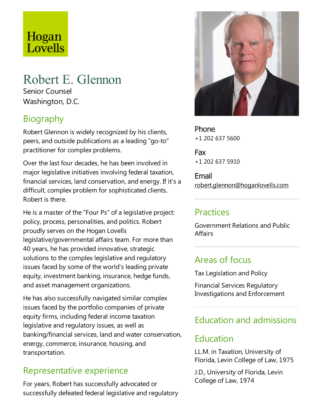# Hogan Lovells

# Robert E. Glennon Senior Counsel

Washington, D.C.

# Biography

Robert Glennon is widely recognized by his clients, peers,and outside publications as aleading "go-to" practitioner for complex problems.

Over the last four decades, he has been involved in major legislative initiatives involving federal taxation, financial services, land conservation, and energy. If it's a difficult, complex problem for sophisticated clients, Robert is there.

He is a master of the "Four Ps" of a legislative project: policy, process, personalities, and politics. Robert proudly serves on the Hogan Lovells legislative/governmental affairs team. For more than 40 years, he has provided innovative, strategic solutions to the complex legislative and regulatory issues faced by some of the world's leading private equity, investment banking, insurance, hedge funds, and asset management organizations.

He has also successfully navigated similar complex issues faced by the portfolio companies of private equity firms, including federal income taxation legislative and regulatory issues, as well as banking/financial services, land and water conservation, energy, commerce, insurance, housing, and transportation.

# Representative experience

For years, Robert has successfully advocated or successfully defeated federal legislative and regulatory



Phone +1 202 637 5600

Fax +1 202 637 5910

Email robert.glennon@hoganlovells.com

## **Practices**

Government Relations and Public **Affairs** 

## Areas of focus

TaxLegislation and Policy

Financial Services Regulatory Investigations and Enforcement

# Education and admissions

# Education

LL.M. in Taxation, University of Florida, Levin College of Law, 1975

J.D., University of Florida, Levin College of Law, 1974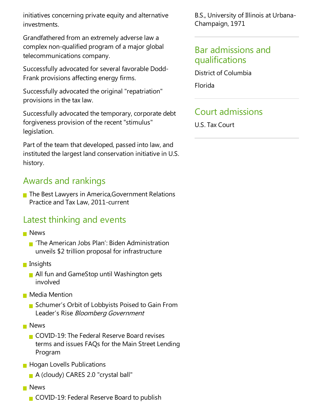initiatives concerning private equity and alternative investments.

Grandfathered from an extremely adverselaw a complex non-qualified program of a major global telecommunications company.

Successfully advocated for several favorable Dodd-Frank provisions affecting energy firms.

Successfully advocated the original "repatriation" provisions in the tax law.

Successfully advocated the temporary, corporate debt forgiveness provision of the recent "stimulus" legislation.

Part of the team that developed, passed into law, and instituted the largest land conservation initiative in U.S. history.

### Awards and rankings

■ The Best Lawyers in America, Government Relations Practice and Tax Law, 2011-current

#### Latest thinking and events

- **News** 
	- 'The American Jobs Plan': Biden Administration unveils \$2 trillion proposal for infrastructure
- **Insights** 
	- **All fun and GameStop until Washington gets** involved
- **Media Mention** 
	- Schumer's Orbit of Lobbyists Poised to Gain From Leader's Rise Bloomberg Government
- **News** 
	- $\blacksquare$  COVID-19: The Federal Reserve Board revises terms and issues FAQs for the Main Street Lending Program
- **Hogan Lovells Publications** 
	- A (cloudy) CARES 2.0 "crystal ball"
- **News** 
	- COVID-19: Federal Reserve Board to publish

B.S., University of Illinois at Urbana-Champaign, 1971

#### Bar admissions and qualifications

District of Columbia

Florida

### Court admissions

U.S.Tax Court